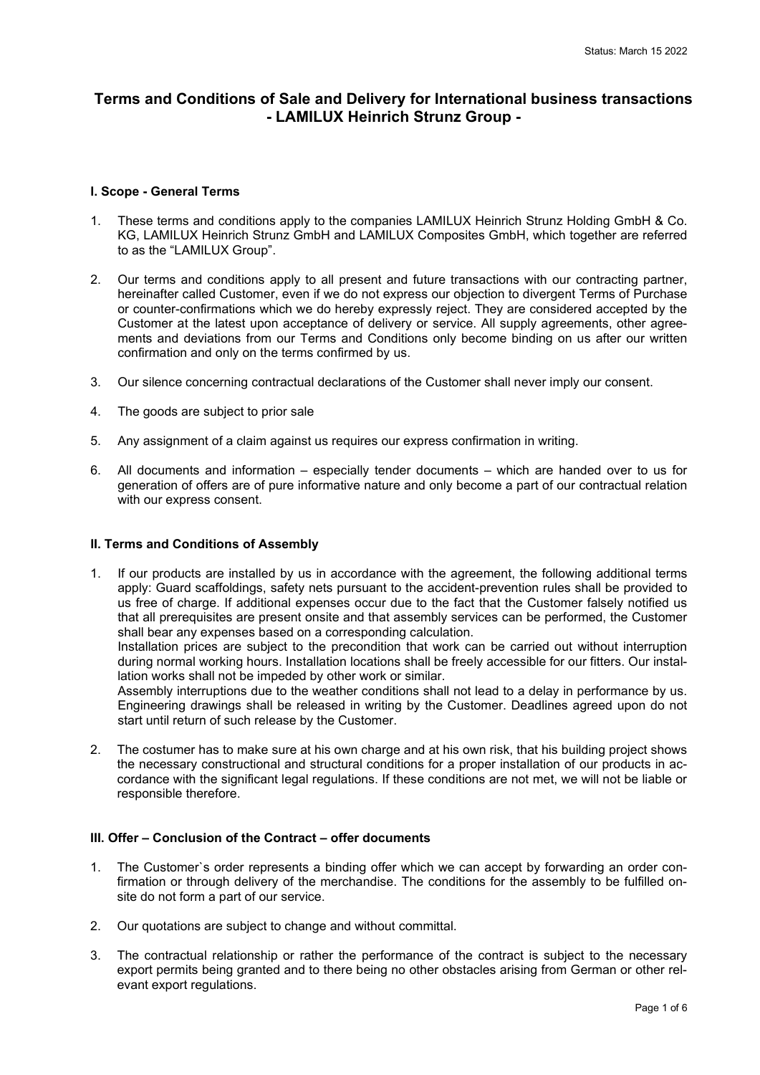# **Terms and Conditions of Sale and Delivery for International business transactions - LAMILUX Heinrich Strunz Group -**

### **I. Scope - General Terms**

- 1. These terms and conditions apply to the companies LAMILUX Heinrich Strunz Holding GmbH & Co. KG, LAMILUX Heinrich Strunz GmbH and LAMILUX Composites GmbH, which together are referred to as the "LAMILUX Group".
- 2. Our terms and conditions apply to all present and future transactions with our contracting partner, hereinafter called Customer, even if we do not express our objection to divergent Terms of Purchase or counter-confirmations which we do hereby expressly reject. They are considered accepted by the Customer at the latest upon acceptance of delivery or service. All supply agreements, other agreements and deviations from our Terms and Conditions only become binding on us after our written confirmation and only on the terms confirmed by us.
- 3. Our silence concerning contractual declarations of the Customer shall never imply our consent.
- 4. The goods are subject to prior sale
- 5. Any assignment of a claim against us requires our express confirmation in writing.
- 6. All documents and information especially tender documents which are handed over to us for generation of offers are of pure informative nature and only become a part of our contractual relation with our express consent.

### **II. Terms and Conditions of Assembly**

1. If our products are installed by us in accordance with the agreement, the following additional terms apply: Guard scaffoldings, safety nets pursuant to the accident-prevention rules shall be provided to us free of charge. If additional expenses occur due to the fact that the Customer falsely notified us that all prerequisites are present onsite and that assembly services can be performed, the Customer shall bear any expenses based on a corresponding calculation.

Installation prices are subject to the precondition that work can be carried out without interruption during normal working hours. Installation locations shall be freely accessible for our fitters. Our installation works shall not be impeded by other work or similar.

Assembly interruptions due to the weather conditions shall not lead to a delay in performance by us. Engineering drawings shall be released in writing by the Customer. Deadlines agreed upon do not start until return of such release by the Customer.

2. The costumer has to make sure at his own charge and at his own risk, that his building project shows the necessary constructional and structural conditions for a proper installation of our products in accordance with the significant legal regulations. If these conditions are not met, we will not be liable or responsible therefore.

# **III. Offer – Conclusion of the Contract – offer documents**

- 1. The Customer`s order represents a binding offer which we can accept by forwarding an order confirmation or through delivery of the merchandise. The conditions for the assembly to be fulfilled onsite do not form a part of our service.
- 2. Our quotations are subject to change and without committal.
- 3. The contractual relationship or rather the performance of the contract is subject to the necessary export permits being granted and to there being no other obstacles arising from German or other relevant export regulations.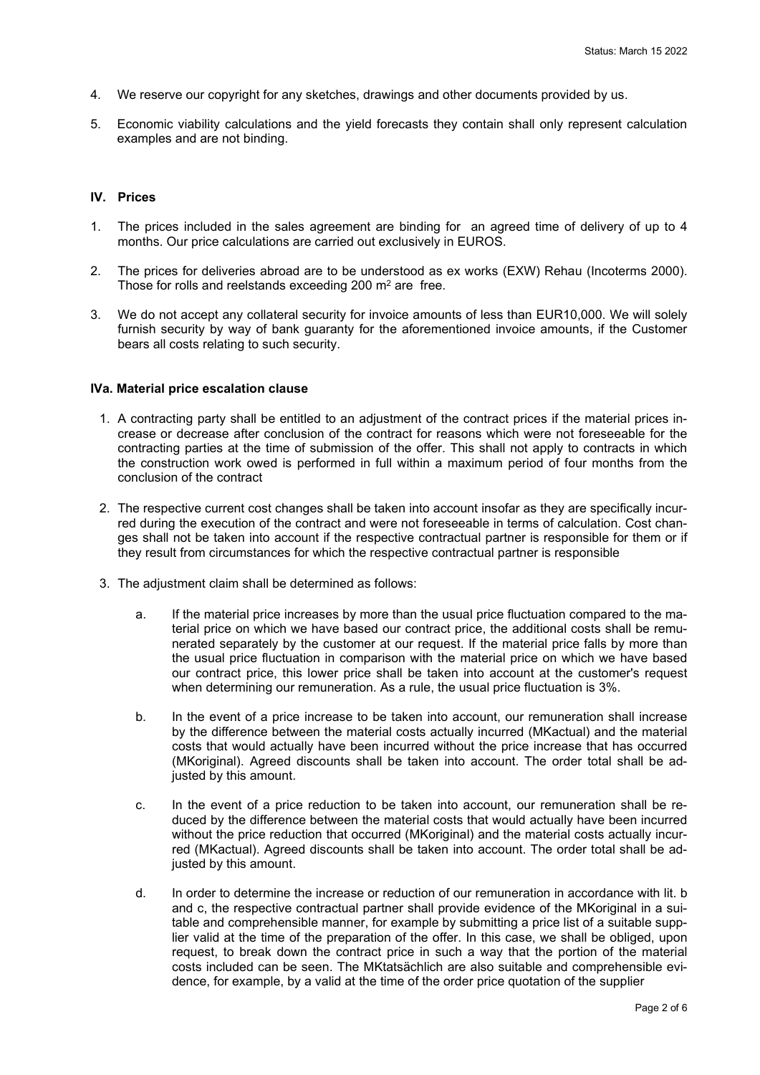- 4. We reserve our copyright for any sketches, drawings and other documents provided by us.
- 5. Economic viability calculations and the yield forecasts they contain shall only represent calculation examples and are not binding.

#### **IV. Prices**

- 1. The prices included in the sales agreement are binding for an agreed time of delivery of up to 4 months. Our price calculations are carried out exclusively in EUROS.
- 2. The prices for deliveries abroad are to be understood as ex works (EXW) Rehau (Incoterms 2000). Those for rolls and reelstands exceeding 200 m<sup>2</sup> are free.
- 3. We do not accept any collateral security for invoice amounts of less than EUR10,000. We will solely furnish security by way of bank guaranty for the aforementioned invoice amounts, if the Customer bears all costs relating to such security.

#### **IVa. Material price escalation clause**

- 1. A contracting party shall be entitled to an adjustment of the contract prices if the material prices increase or decrease after conclusion of the contract for reasons which were not foreseeable for the contracting parties at the time of submission of the offer. This shall not apply to contracts in which the construction work owed is performed in full within a maximum period of four months from the conclusion of the contract
- 2. The respective current cost changes shall be taken into account insofar as they are specifically incurred during the execution of the contract and were not foreseeable in terms of calculation. Cost changes shall not be taken into account if the respective contractual partner is responsible for them or if they result from circumstances for which the respective contractual partner is responsible
- 3. The adjustment claim shall be determined as follows:
	- a. If the material price increases by more than the usual price fluctuation compared to the material price on which we have based our contract price, the additional costs shall be remunerated separately by the customer at our request. If the material price falls by more than the usual price fluctuation in comparison with the material price on which we have based our contract price, this lower price shall be taken into account at the customer's request when determining our remuneration. As a rule, the usual price fluctuation is 3%.
	- b. In the event of a price increase to be taken into account, our remuneration shall increase by the difference between the material costs actually incurred (MKactual) and the material costs that would actually have been incurred without the price increase that has occurred (MKoriginal). Agreed discounts shall be taken into account. The order total shall be adjusted by this amount.
	- c. In the event of a price reduction to be taken into account, our remuneration shall be reduced by the difference between the material costs that would actually have been incurred without the price reduction that occurred (MKoriginal) and the material costs actually incurred (MKactual). Agreed discounts shall be taken into account. The order total shall be adjusted by this amount.
	- d. In order to determine the increase or reduction of our remuneration in accordance with lit. b and c, the respective contractual partner shall provide evidence of the MKoriginal in a suitable and comprehensible manner, for example by submitting a price list of a suitable supplier valid at the time of the preparation of the offer. In this case, we shall be obliged, upon request, to break down the contract price in such a way that the portion of the material costs included can be seen. The MKtatsächlich are also suitable and comprehensible evidence, for example, by a valid at the time of the order price quotation of the supplier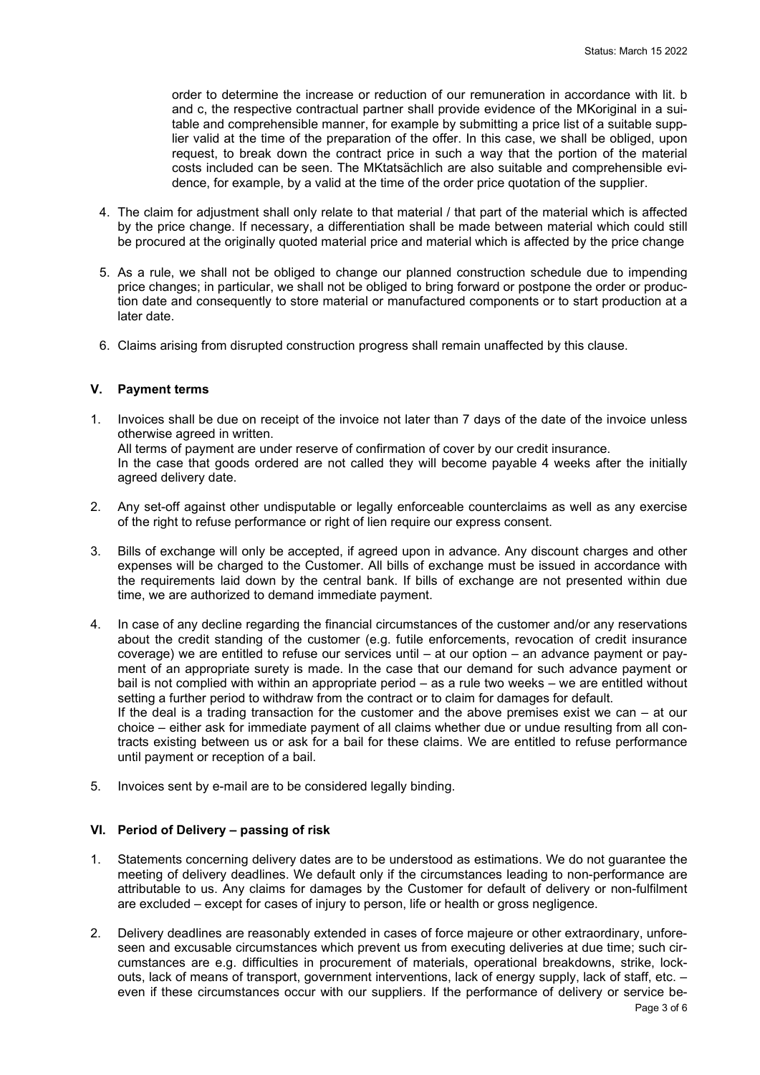order to determine the increase or reduction of our remuneration in accordance with lit. b and c, the respective contractual partner shall provide evidence of the MKoriginal in a suitable and comprehensible manner, for example by submitting a price list of a suitable supplier valid at the time of the preparation of the offer. In this case, we shall be obliged, upon request, to break down the contract price in such a way that the portion of the material costs included can be seen. The MKtatsächlich are also suitable and comprehensible evidence, for example, by a valid at the time of the order price quotation of the supplier.

- 4. The claim for adjustment shall only relate to that material / that part of the material which is affected by the price change. If necessary, a differentiation shall be made between material which could still be procured at the originally quoted material price and material which is affected by the price change
- 5. As a rule, we shall not be obliged to change our planned construction schedule due to impending price changes; in particular, we shall not be obliged to bring forward or postpone the order or production date and consequently to store material or manufactured components or to start production at a later date.
- 6. Claims arising from disrupted construction progress shall remain unaffected by this clause.

# **V. Payment terms**

- 1. Invoices shall be due on receipt of the invoice not later than 7 days of the date of the invoice unless otherwise agreed in written. All terms of payment are under reserve of confirmation of cover by our credit insurance. In the case that goods ordered are not called they will become payable 4 weeks after the initially agreed delivery date.
- 2. Any set-off against other undisputable or legally enforceable counterclaims as well as any exercise of the right to refuse performance or right of lien require our express consent.
- 3. Bills of exchange will only be accepted, if agreed upon in advance. Any discount charges and other expenses will be charged to the Customer. All bills of exchange must be issued in accordance with the requirements laid down by the central bank. If bills of exchange are not presented within due time, we are authorized to demand immediate payment.
- 4. In case of any decline regarding the financial circumstances of the customer and/or any reservations about the credit standing of the customer (e.g. futile enforcements, revocation of credit insurance coverage) we are entitled to refuse our services until – at our option – an advance payment or payment of an appropriate surety is made. In the case that our demand for such advance payment or bail is not complied with within an appropriate period – as a rule two weeks – we are entitled without setting a further period to withdraw from the contract or to claim for damages for default. If the deal is a trading transaction for the customer and the above premises exist we can – at our choice – either ask for immediate payment of all claims whether due or undue resulting from all contracts existing between us or ask for a bail for these claims. We are entitled to refuse performance until payment or reception of a bail.
- 5. Invoices sent by e-mail are to be considered legally binding.

# **VI. Period of Delivery – passing of risk**

- 1. Statements concerning delivery dates are to be understood as estimations. We do not guarantee the meeting of delivery deadlines. We default only if the circumstances leading to non-performance are attributable to us. Any claims for damages by the Customer for default of delivery or non-fulfilment are excluded – except for cases of injury to person, life or health or gross negligence.
- 2. Delivery deadlines are reasonably extended in cases of force majeure or other extraordinary, unforeseen and excusable circumstances which prevent us from executing deliveries at due time; such circumstances are e.g. difficulties in procurement of materials, operational breakdowns, strike, lockouts, lack of means of transport, government interventions, lack of energy supply, lack of staff, etc. – even if these circumstances occur with our suppliers. If the performance of delivery or service be-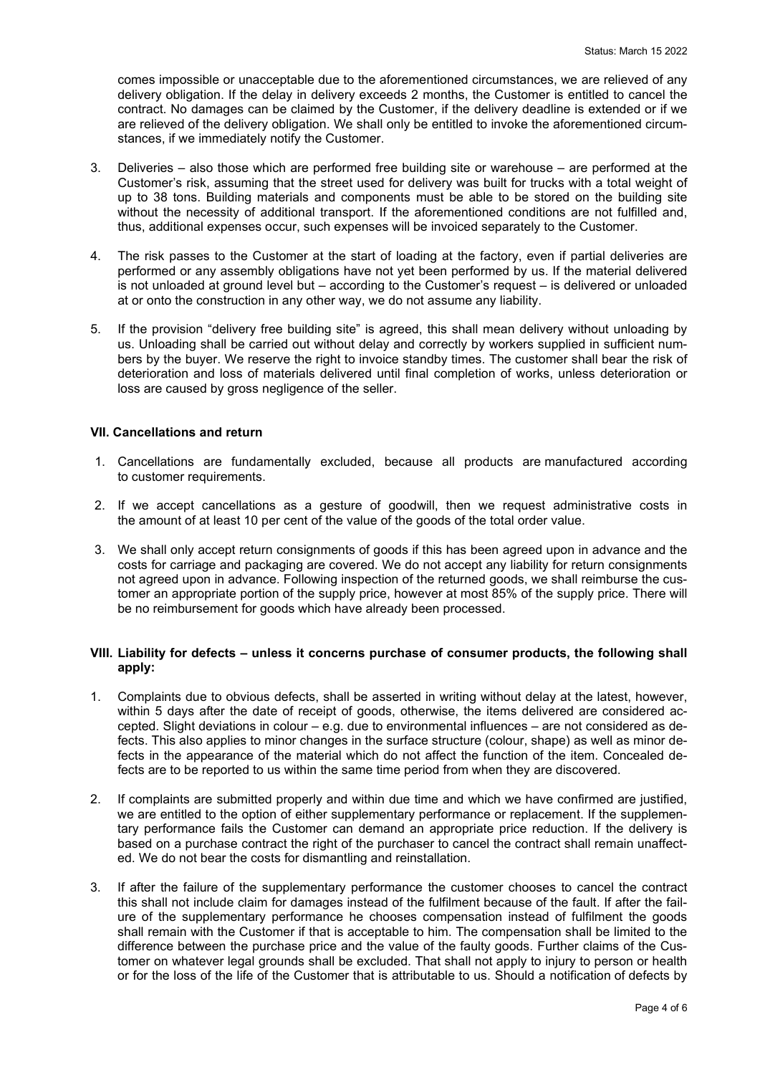comes impossible or unacceptable due to the aforementioned circumstances, we are relieved of any delivery obligation. If the delay in delivery exceeds 2 months, the Customer is entitled to cancel the contract. No damages can be claimed by the Customer, if the delivery deadline is extended or if we are relieved of the delivery obligation. We shall only be entitled to invoke the aforementioned circumstances, if we immediately notify the Customer.

- 3. Deliveries also those which are performed free building site or warehouse are performed at the Customer's risk, assuming that the street used for delivery was built for trucks with a total weight of up to 38 tons. Building materials and components must be able to be stored on the building site without the necessity of additional transport. If the aforementioned conditions are not fulfilled and, thus, additional expenses occur, such expenses will be invoiced separately to the Customer.
- 4. The risk passes to the Customer at the start of loading at the factory, even if partial deliveries are performed or any assembly obligations have not yet been performed by us. If the material delivered is not unloaded at ground level but – according to the Customer's request – is delivered or unloaded at or onto the construction in any other way, we do not assume any liability.
- 5. If the provision "delivery free building site" is agreed, this shall mean delivery without unloading by us. Unloading shall be carried out without delay and correctly by workers supplied in sufficient numbers by the buyer. We reserve the right to invoice standby times. The customer shall bear the risk of deterioration and loss of materials delivered until final completion of works, unless deterioration or loss are caused by gross negligence of the seller.

# **VII. Cancellations and return**

- 1. Cancellations are fundamentally excluded, because all products are manufactured according to customer requirements.
- 2. If we accept cancellations as a gesture of goodwill, then we request administrative costs in the amount of at least 10 per cent of the value of the goods of the total order value.
- 3. We shall only accept return consignments of goods if this has been agreed upon in advance and the costs for carriage and packaging are covered. We do not accept any liability for return consignments not agreed upon in advance. Following inspection of the returned goods, we shall reimburse the customer an appropriate portion of the supply price, however at most 85% of the supply price. There will be no reimbursement for goods which have already been processed.

#### **VIII. Liability for defects – unless it concerns purchase of consumer products, the following shall apply:**

- 1. Complaints due to obvious defects, shall be asserted in writing without delay at the latest, however, within 5 days after the date of receipt of goods, otherwise, the items delivered are considered accepted. Slight deviations in colour – e.g. due to environmental influences – are not considered as defects. This also applies to minor changes in the surface structure (colour, shape) as well as minor defects in the appearance of the material which do not affect the function of the item. Concealed defects are to be reported to us within the same time period from when they are discovered.
- 2. If complaints are submitted properly and within due time and which we have confirmed are justified, we are entitled to the option of either supplementary performance or replacement. If the supplementary performance fails the Customer can demand an appropriate price reduction. If the delivery is based on a purchase contract the right of the purchaser to cancel the contract shall remain unaffected. We do not bear the costs for dismantling and reinstallation.
- 3. If after the failure of the supplementary performance the customer chooses to cancel the contract this shall not include claim for damages instead of the fulfilment because of the fault. If after the failure of the supplementary performance he chooses compensation instead of fulfilment the goods shall remain with the Customer if that is acceptable to him. The compensation shall be limited to the difference between the purchase price and the value of the faulty goods. Further claims of the Customer on whatever legal grounds shall be excluded. That shall not apply to injury to person or health or for the loss of the life of the Customer that is attributable to us. Should a notification of defects by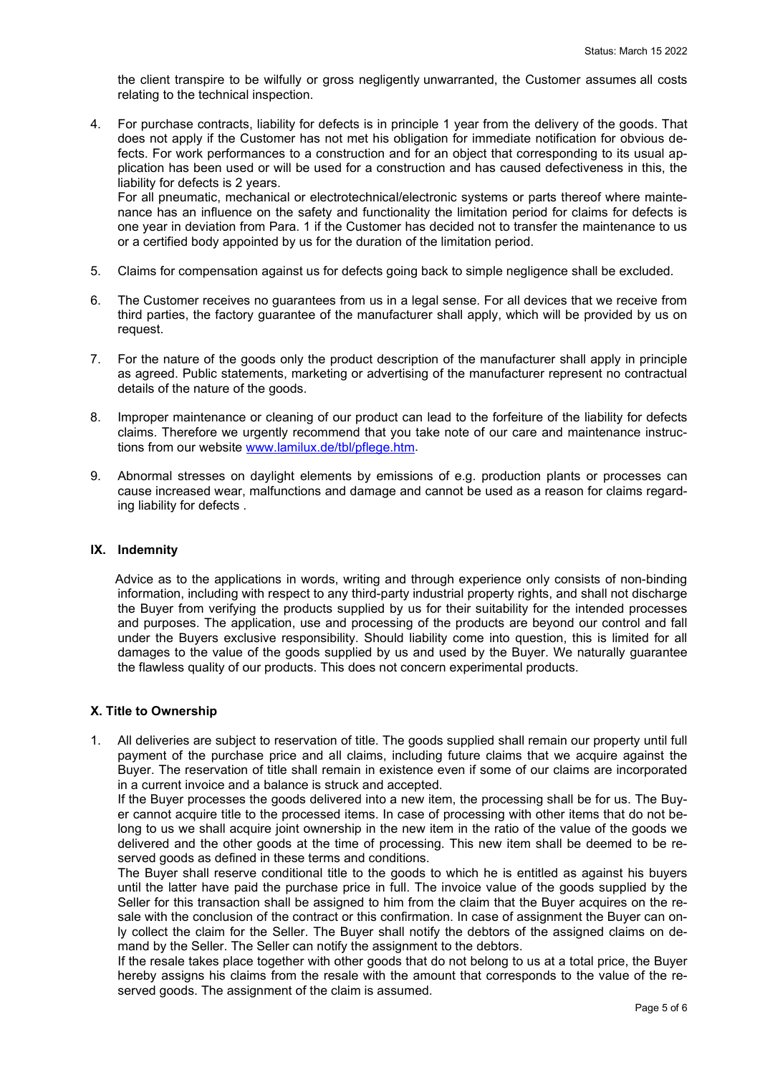the client transpire to be wilfully or gross negligently unwarranted, the Customer assumes all costs relating to the technical inspection.

4. For purchase contracts, liability for defects is in principle 1 year from the delivery of the goods. That does not apply if the Customer has not met his obligation for immediate notification for obvious defects. For work performances to a construction and for an object that corresponding to its usual application has been used or will be used for a construction and has caused defectiveness in this, the liability for defects is 2 years.

For all pneumatic, mechanical or electrotechnical/electronic systems or parts thereof where maintenance has an influence on the safety and functionality the limitation period for claims for defects is one year in deviation from Para. 1 if the Customer has decided not to transfer the maintenance to us or a certified body appointed by us for the duration of the limitation period.

- 5. Claims for compensation against us for defects going back to simple negligence shall be excluded.
- 6. The Customer receives no guarantees from us in a legal sense. For all devices that we receive from third parties, the factory guarantee of the manufacturer shall apply, which will be provided by us on request.
- 7. For the nature of the goods only the product description of the manufacturer shall apply in principle as agreed. Public statements, marketing or advertising of the manufacturer represent no contractual details of the nature of the goods.
- 8. Improper maintenance or cleaning of our product can lead to the forfeiture of the liability for defects claims. Therefore we urgently recommend that you take note of our care and maintenance instructions from our website [www.lamilux.de/tbl/pflege.htm.](http://www.lamilux.de/tbl/pflege.htm)
- 9. Abnormal stresses on daylight elements by emissions of e.g. production plants or processes can cause increased wear, malfunctions and damage and cannot be used as a reason for claims regarding liability for defects .

# **IX. Indemnity**

 Advice as to the applications in words, writing and through experience only consists of non-binding information, including with respect to any third-party industrial property rights, and shall not discharge the Buyer from verifying the products supplied by us for their suitability for the intended processes and purposes. The application, use and processing of the products are beyond our control and fall under the Buyers exclusive responsibility. Should liability come into question, this is limited for all damages to the value of the goods supplied by us and used by the Buyer. We naturally guarantee the flawless quality of our products. This does not concern experimental products.

#### **X. Title to Ownership**

1. All deliveries are subject to reservation of title. The goods supplied shall remain our property until full payment of the purchase price and all claims, including future claims that we acquire against the Buyer. The reservation of title shall remain in existence even if some of our claims are incorporated in a current invoice and a balance is struck and accepted.

If the Buyer processes the goods delivered into a new item, the processing shall be for us. The Buyer cannot acquire title to the processed items. In case of processing with other items that do not belong to us we shall acquire joint ownership in the new item in the ratio of the value of the goods we delivered and the other goods at the time of processing. This new item shall be deemed to be reserved goods as defined in these terms and conditions.

The Buyer shall reserve conditional title to the goods to which he is entitled as against his buyers until the latter have paid the purchase price in full. The invoice value of the goods supplied by the Seller for this transaction shall be assigned to him from the claim that the Buyer acquires on the resale with the conclusion of the contract or this confirmation. In case of assignment the Buyer can only collect the claim for the Seller. The Buyer shall notify the debtors of the assigned claims on demand by the Seller. The Seller can notify the assignment to the debtors.

If the resale takes place together with other goods that do not belong to us at a total price, the Buyer hereby assigns his claims from the resale with the amount that corresponds to the value of the reserved goods. The assignment of the claim is assumed.